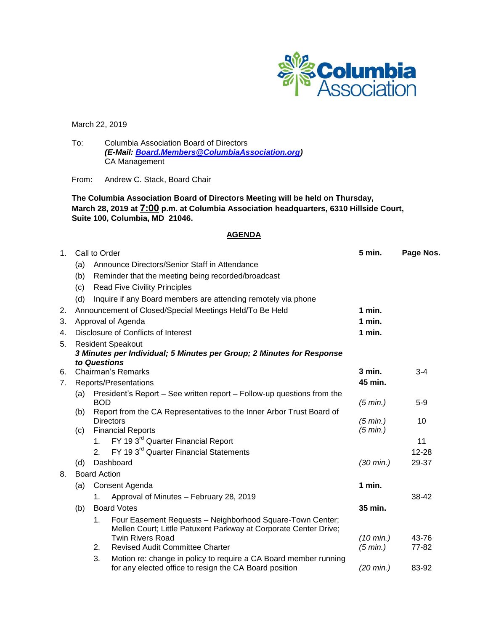

March 22, 2019

To: Columbia Association Board of Directors *(E-Mail: [Board.Members@ColumbiaAssociation.org\)](mailto:Board.Members@ColumbiaAssociation.org)* CA Management

From: Andrew C. Stack, Board Chair

**The Columbia Association Board of Directors Meeting will be held on Thursday, March 28, 2019 at 7:00 p.m. at Columbia Association headquarters, 6310 Hillside Court, Suite 100, Columbia, MD 21046.**

# **AGENDA**

| 1 <sub>1</sub> | Call to Order                       |                                                                                             |                     | Page Nos. |  |
|----------------|-------------------------------------|---------------------------------------------------------------------------------------------|---------------------|-----------|--|
|                | (a)                                 | Announce Directors/Senior Staff in Attendance                                               |                     |           |  |
|                | (b)                                 | Reminder that the meeting being recorded/broadcast                                          |                     |           |  |
|                | (c)                                 | <b>Read Five Civility Principles</b>                                                        |                     |           |  |
|                | (d)                                 | Inquire if any Board members are attending remotely via phone                               |                     |           |  |
| 2.             |                                     | Announcement of Closed/Special Meetings Held/To Be Held                                     | $1$ min.            |           |  |
| 3.             | Approval of Agenda                  |                                                                                             |                     |           |  |
| 4.             | Disclosure of Conflicts of Interest |                                                                                             |                     |           |  |
| 5.             |                                     | <b>Resident Speakout</b>                                                                    |                     |           |  |
|                |                                     | 3 Minutes per Individual; 5 Minutes per Group; 2 Minutes for Response                       |                     |           |  |
|                |                                     | to Questions                                                                                |                     |           |  |
| 6.<br>7.       |                                     | <b>Chairman's Remarks</b>                                                                   | 3 min.<br>45 min.   | $3 - 4$   |  |
|                |                                     | Reports/Presentations                                                                       |                     |           |  |
|                | (a)                                 | President's Report – See written report – Follow-up questions from the<br><b>BOD</b>        | (5 min.)            | $5 - 9$   |  |
|                | (b)                                 | Report from the CA Representatives to the Inner Arbor Trust Board of                        |                     |           |  |
|                |                                     | <b>Directors</b>                                                                            | (5 min.)            | 10        |  |
|                | (c)                                 | <b>Financial Reports</b>                                                                    | (5 min.)            |           |  |
|                |                                     | FY 19 3 <sup>rd</sup> Quarter Financial Report<br>1 <sup>1</sup>                            |                     | 11        |  |
|                |                                     | FY 19 3 <sup>rd</sup> Quarter Financial Statements<br>2.                                    |                     | $12 - 28$ |  |
|                | (d)                                 | Dashboard                                                                                   | $(30 \text{ min.})$ | 29-37     |  |
| 8.             | <b>Board Action</b>                 |                                                                                             |                     |           |  |
|                | (a)                                 | Consent Agenda                                                                              | 1 min.              |           |  |
|                |                                     | Approval of Minutes - February 28, 2019<br>1.                                               |                     | 38-42     |  |
|                | (b)                                 | <b>Board Votes</b>                                                                          | 35 min.             |           |  |
|                |                                     | Four Easement Requests - Neighborhood Square-Town Center;<br>1.                             |                     |           |  |
|                |                                     | Mellen Court; Little Patuxent Parkway at Corporate Center Drive;<br><b>Twin Rivers Road</b> | $(10 \text{ min.})$ | 43-76     |  |
|                |                                     | <b>Revised Audit Committee Charter</b><br>2.                                                | (5 min.)            | 77-82     |  |
|                |                                     | 3.<br>Motion re: change in policy to require a CA Board member running                      |                     |           |  |
|                |                                     | for any elected office to resign the CA Board position                                      | $(20 \text{ min.})$ | 83-92     |  |